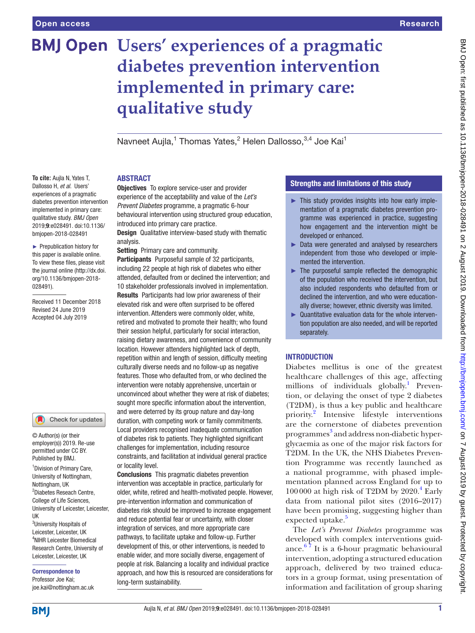**To cite:** Aujla N, Yates T, Dallosso H, *et al*. Users' experiences of a pragmatic diabetes prevention intervention implemented in primary care: qualitative study. *BMJ Open* 2019;9:e028491. doi:10.1136/ bmjopen-2018-028491 ► Prepublication history for this paper is available online. To view these files, please visit the journal online (http://dx.doi. org/10.1136/bmjopen-2018-

028491).

Received 11 December 2018 Revised 24 June 2019 Accepted 04 July 2019

# **BMJ Open Users' experiences of a pragmatic diabetes prevention intervention implemented in primary care: qualitative study**

Navneet Aujla,<sup>1</sup> Thomas Yates,<sup>2</sup> Helen Dallosso,<sup>3,4</sup> Joe Kai<sup>1</sup>

# **ABSTRACT**

**Objectives** To explore service-user and provider experience of the acceptability and value of the *Let's Prevent Diabetes* programme, a pragmatic 6-hour behavioural intervention using structured group education, introduced into primary care practice.

**Design** Qualitative interview-based study with thematic analysis.

Setting Primary care and community.

Participants Purposeful sample of 32 participants, including 22 people at high risk of diabetes who either attended, defaulted from or declined the intervention; and 10 stakeholder professionals involved in implementation. Results Participants had low prior awareness of their elevated risk and were often surprised to be offered intervention. Attenders were commonly older, white, retired and motivated to promote their health; who found their session helpful, particularly for social interaction, raising dietary awareness, and convenience of community location. However attenders highlighted lack of depth, repetition within and length of session, difficulty meeting culturally diverse needs and no follow-up as negative features. Those who defaulted from, or who declined the intervention were notably apprehensive, uncertain or unconvinced about whether they were at risk of diabetes; sought more specific information about the intervention, and were deterred by its group nature and day-long duration, with competing work or family commitments. Local providers recognised inadequate communication of diabetes risk to patients. They highlighted significant challenges for implementation, including resource constraints, and facilitation at individual general practice or locality level.

Conclusions This pragmatic diabetes prevention intervention was acceptable in practice, particularly for older, white, retired and health-motivated people. However, pre-intervention information and communication of diabetes risk should be improved to increase engagement and reduce potential fear or uncertainty, with closer integration of services, and more appropriate care pathways, to facilitate uptake and follow-up. Further development of this, or other interventions, is needed to enable wider, and more socially diverse, engagement of people at risk. Balancing a locality and individual practice approach, and how this is resourced are considerations for long-term sustainability.

# Strengths and limitations of this study

- ► This study provides insights into how early implementation of a pragmatic diabetes prevention programme was experienced in practice, suggesting how engagement and the intervention might be developed or enhanced.
- ► Data were generated and analysed by researchers independent from those who developed or implemented the intervention.
- $\blacktriangleright$  The purposeful sample reflected the demographic of the population who received the intervention, but also included respondents who defaulted from or declined the intervention, and who were educationally diverse; however, ethnic diversity was limited.
- ► Quantitative evaluation data for the whole intervention population are also needed, and will be reported separately.

# **INTRODUCTION**

Diabetes mellitus is one of the greatest healthcare challenges of this age, affecting millions of individuals globally.<sup>1</sup> Prevention, or delaying the onset of type 2 diabetes (T2DM), is thus a key public and healthcare priority.[2](#page-9-1) Intensive lifestyle interventions are the cornerstone of diabetes prevention programmes [3](#page-9-2) and address non-diabetic hyperglycaemia as one of the major risk factors for T2DM. In the UK, the NHS Diabetes Prevention Programme was recently launched as a national programme, with phased implementation planned across England for up to 100000 at high risk of T2DM by 2020.<sup>4</sup> Early data from national pilot sites (2016–2017) have been promising, suggesting higher than expected uptake.<sup>[5](#page-9-4)</sup>

The *Let's Prevent Diabetes* programme was developed with complex interventions guidance.<sup>67</sup> It is a 6-hour pragmatic behavioural intervention, adopting a structured education approach, delivered by two trained educators in a group format, using presentation of information and facilitation of group sharing

permitted under CC BY. Published by BMJ.

© Author(s) (or their employer(s)) 2019. Re-use

1 Division of Primary Care, University of Nottingham, Nottingham, UK 2 Diabetes Reseach Centre, College of Life Sciences, University of Leicester, Leicester, UK

Check for updates

<sup>3</sup>University Hospitals of Leicester, Leicester, UK 4 NIHR Leicester Biomedical Research Centre, University of Leicester, Leicester, UK

Correspondence to Professor Joe Kai; joe.kai@nottingham.ac.uk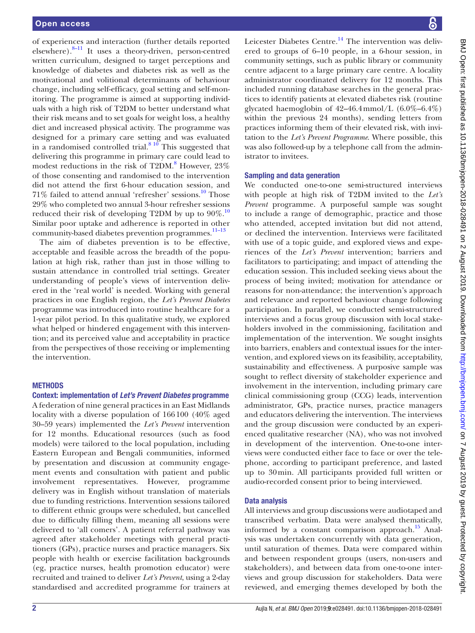of experiences and interaction (further details reported elsewhere). $8-11$  It uses a theory-driven, person-centred written curriculum, designed to target perceptions and knowledge of diabetes and diabetes risk as well as the motivational and volitional determinants of behaviour change, including self-efficacy, goal setting and self-monitoring. The programme is aimed at supporting individuals with a high risk of T2DM to better understand what their risk means and to set goals for weight loss, a healthy diet and increased physical activity. The programme was designed for a primary care setting and was evaluated in a randomised controlled trial. $8^{10}$  This suggested that delivering this programme in primary care could lead to modest reductions in the risk of T2DM.<sup>8</sup> However, 23% of those consenting and randomised to the intervention did not attend the first 6-hour education session, and 71% failed to attend annual 'refresher' sessions.[10](#page-9-7) Those 29% who completed two annual 3-hour refresher sessions reduced their risk of developing T2DM by up to  $90\%$ .<sup>10</sup> Similar poor uptake and adherence is reported in other community-based diabetes prevention programmes.<sup>11-13</sup>

The aim of diabetes prevention is to be effective, acceptable and feasible across the breadth of the population at high risk, rather than just in those willing to sustain attendance in controlled trial settings. Greater understanding of people's views of intervention delivered in the 'real world' is needed. Working with general practices in one English region, the *Let's Prevent Diabetes* programme was introduced into routine healthcare for a 1-year pilot period. In this qualitative study, we explored what helped or hindered engagement with this intervention; and its perceived value and acceptability in practice from the perspectives of those receiving or implementing the intervention.

## **METHODS**

Context: implementation of *Let's Prevent Diabetes* programme A federation of nine general practices in an East Midlands locality with a diverse population of 166100 (40% aged 30–59 years) implemented the *Let's Prevent* intervention for 12 months. Educational resources (such as food models) were tailored to the local population, including Eastern European and Bengali communities, informed by presentation and discussion at community engagement events and consultation with patient and public involvement representatives. However, programme delivery was in English without translation of materials due to funding restrictions. Intervention sessions tailored to different ethnic groups were scheduled, but cancelled due to difficulty filling them, meaning all sessions were delivered to 'all comers'. A patient referral pathway was agreed after stakeholder meetings with general practitioners (GPs), practice nurses and practice managers. Six people with health or exercise facilitation backgrounds (eg, practice nurses, health promotion educator) were recruited and trained to deliver *Let's Prevent*, using a 2-day standardised and accredited programme for trainers at

Leicester Diabetes Centre.<sup>14</sup> The intervention was delivered to groups of 6–10 people, in a 6-hour session, in community settings, such as public library or community centre adjacent to a large primary care centre. A locality administrator coordinated delivery for 12 months. This included running database searches in the general practices to identify patients at elevated diabetes risk (routine glycated haemoglobin of  $42-46.4$ mmol/L  $(6.0\% - 6.4\%)$ within the previous 24 months), sending letters from practices informing them of their elevated risk, with invitation to the *Let's Prevent Programme*. Where possible, this was also followed-up by a telephone call from the administrator to invitees.

#### Sampling and data generation

We conducted one-to-one semi-structured interviews with people at high risk of T2DM invited to the *Let's Prevent* programme. A purposeful sample was sought to include a range of demographic, practice and those who attended, accepted invitation but did not attend, or declined the intervention. Interviews were facilitated with use of a topic guide, and explored views and experiences of the *Let's Prevent* intervention; barriers and facilitators to participating; and impact of attending the education session. This included seeking views about the process of being invited; motivation for attendance or reasons for non-attendance; the intervention's approach and relevance and reported behaviour change following participation. In parallel, we conducted semi-structured interviews and a focus group discussion with local stakeholders involved in the commissioning, facilitation and implementation of the intervention. We sought insights into barriers, enablers and contextual issues for the intervention, and explored views on its feasibility, acceptability, sustainability and effectiveness. A purposive sample was sought to reflect diversity of stakeholder experience and involvement in the intervention, including primary care clinical commissioning group (CCG) leads, intervention administrator, GPs, practice nurses, practice managers and educators delivering the intervention. The interviews and the group discussion were conducted by an experienced qualitative researcher (NA), who was not involved in development of the intervention. One-to-one interviews were conducted either face to face or over the telephone, according to participant preference, and lasted up to 30min. All participants provided full written or audio-recorded consent prior to being interviewed.

## Data analysis

All interviews and group discussions were audiotaped and transcribed verbatim. Data were analysed thematically, informed by a constant comparison approach.<sup>15</sup> Analysis was undertaken concurrently with data generation, until saturation of themes. Data were compared within and between respondent groups (users, non-users and stakeholders), and between data from one-to-one interviews and group discussion for stakeholders. Data were reviewed, and emerging themes developed by both the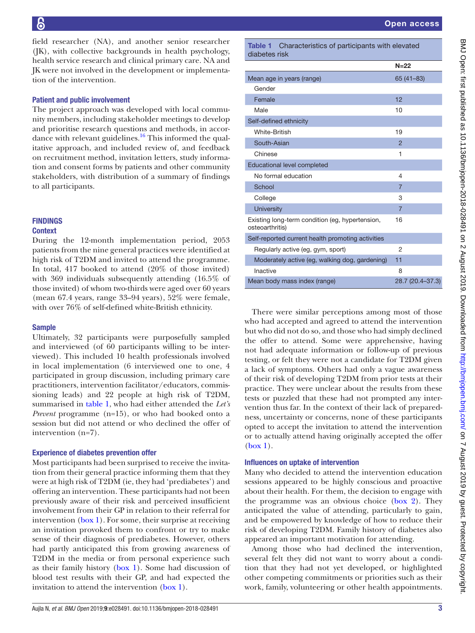field researcher (NA), and another senior researcher (JK), with collective backgrounds in health psychology, health service research and clinical primary care. NA and JK were not involved in the development or implementation of the intervention.

# Patient and public involvement

The project approach was developed with local community members, including stakeholder meetings to develop and prioritise research questions and methods, in accordance with relevant guidelines.<sup>16</sup> This informed the qualitative approach, and included review of, and feedback on recruitment method, invitation letters, study information and consent forms by patients and other community stakeholders, with distribution of a summary of findings to all participants.

# **FINDINGS**

## **Context**

During the 12-month implementation period, 2053 patients from the nine general practices were identified at high risk of T2DM and invited to attend the programme. In total, 417 booked to attend (20% of those invited) with 369 individuals subsequently attending (16.5% of those invited) of whom two-thirds were aged over 60 years (mean 67.4 years, range 33–94 years), 52% were female, with over 76% of self-defined white-British ethnicity.

## Sample

Ultimately, 32 participants were purposefully sampled and interviewed (of 60 participants willing to be interviewed). This included 10 health professionals involved in local implementation (6 interviewed one to one, 4 participated in group discussion, including primary care practitioners, intervention facilitator/educators, commissioning leads) and 22 people at high risk of T2DM, summarised in [table](#page-2-0) 1, who had either attended the *Let's Prevent* programme (n=15), or who had booked onto a session but did not attend or who declined the offer of intervention (n=7).

## Experience of diabetes prevention offer

Most participants had been surprised to receive the invitation from their general practice informing them that they were at high risk of T2DM (ie, they had 'prediabetes') and offering an intervention. These participants had not been previously aware of their risk and perceived insufficient involvement from their GP in relation to their referral for intervention [\(box](#page-3-0) 1). For some, their surprise at receiving an invitation provoked them to confront or try to make sense of their diagnosis of prediabetes. However, others had partly anticipated this from growing awareness of T2DM in the media or from personal experience such as their family history [\(box](#page-3-0) 1). Some had discussion of blood test results with their GP, and had expected the invitation to attend the intervention [\(box](#page-3-0) 1).

<span id="page-2-0"></span>Table 1 Characteristics of participants with elevated diabetes risk

|                                                                    | $N=22$           |
|--------------------------------------------------------------------|------------------|
| Mean age in years (range)                                          | $65(41 - 83)$    |
| Gender                                                             |                  |
| Female                                                             | 12               |
| Male                                                               | 10               |
| Self-defined ethnicity                                             |                  |
| White-British                                                      | 19               |
| South-Asian                                                        | $\mathcal{P}$    |
| Chinese                                                            | $\mathbf{1}$     |
| Educational level completed                                        |                  |
| No formal education                                                | 4                |
| School                                                             | $\overline{7}$   |
| College                                                            | 3                |
| <b>University</b>                                                  | $\overline{7}$   |
| Existing long-term condition (eg, hypertension,<br>osteoarthritis) | 16               |
| Self-reported current health promoting activities                  |                  |
| Regularly active (eg, gym, sport)                                  | 2                |
| Moderately active (eg, walking dog, gardening)                     | 11               |
| Inactive                                                           | 8                |
| Mean body mass index (range)                                       | 28.7 (20.4-37.3) |

There were similar perceptions among most of those who had accepted and agreed to attend the intervention but who did not do so, and those who had simply declined the offer to attend. Some were apprehensive, having not had adequate information or follow-up of previous testing, or felt they were not a candidate for T2DM given a lack of symptoms. Others had only a vague awareness of their risk of developing T2DM from prior tests at their practice. They were unclear about the results from these tests or puzzled that these had not prompted any intervention thus far. In the context of their lack of preparedness, uncertainty or concerns, none of these participants opted to accept the invitation to attend the intervention or to actually attend having originally accepted the offer [\(box](#page-3-0) 1).

## Influences on uptake of intervention

Many who decided to attend the intervention education sessions appeared to be highly conscious and proactive about their health. For them, the decision to engage with the programme was an obvious choice [\(box](#page-4-0) 2). They anticipated the value of attending, particularly to gain, and be empowered by knowledge of how to reduce their risk of developing T2DM. Family history of diabetes also appeared an important motivation for attending.

Among those who had declined the intervention, several felt they did not want to worry about a condition that they had not yet developed, or highlighted other competing commitments or priorities such as their work, family, volunteering or other health appointments.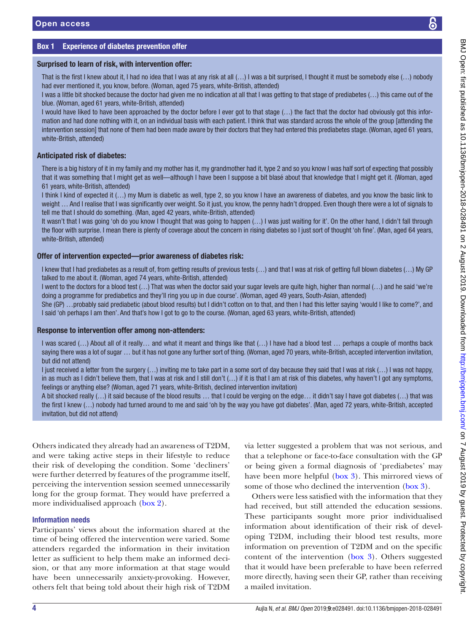# Box 1 Experience of diabetes prevention offer

# <span id="page-3-0"></span>Surprised to learn of risk, with intervention offer:

That is the first I knew about it, I had no idea that I was at any risk at all (…) I was a bit surprised, I thought it must be somebody else (…) nobody had ever mentioned it, you know, before. (Woman, aged 75 years, white-British, attended)

I was a little bit shocked because the doctor had given me no indication at all that I was getting to that stage of prediabetes (...) this came out of the blue. (Woman, aged 61 years, white-British, attended)

I would have liked to have been approached by the doctor before I ever got to that stage (…) the fact that the doctor had obviously got this information and had done nothing with it, on an individual basis with each patient. I think that was standard across the whole of the group [attending the intervention session] that none of them had been made aware by their doctors that they had entered this prediabetes stage. (Woman, aged 61 years, white-British, attended)

# Anticipated risk of diabetes:

There is a big history of it in my family and my mother has it, my grandmother had it, type 2 and so you know I was half sort of expecting that possibly that it was something that I might get as well—although I have been I suppose a bit blasé about that knowledge that I might get it. (Woman, aged 61 years, white-British, attended)

I think I kind of expected it (…) my Mum is diabetic as well, type 2, so you know I have an awareness of diabetes, and you know the basic link to weight … And I realise that I was significantly over weight. So it just, you know, the penny hadn't dropped. Even though there were a lot of signals to tell me that I should do something. (Man, aged 42 years, white-British, attended)

It wasn't that I was going 'oh do you know I thought that was going to happen (…) I was just waiting for it'. On the other hand, I didn't fall through the floor with surprise. I mean there is plenty of coverage about the concern in rising diabetes so I just sort of thought 'oh fine'. (Man, aged 64 years, white-British, attended)

# Offer of intervention expected—prior awareness of diabetes risk:

I knew that I had prediabetes as a result of, from getting results of previous tests (…) and that I was at risk of getting full blown diabetes (…) My GP talked to me about it. (Woman, aged 74 years, white-British, attended)

I went to the doctors for a blood test  $(...)$  That was when the doctor said your sugar levels are quite high, higher than normal  $(...)$  and he said 'we're doing a programme for prediabetics and they'll ring you up in due course'. (Woman, aged 49 years, South-Asian, attended)

She (GP) …probably said prediabetic (about blood results) but I didn't cotton on to that, and then I had this letter saying 'would I like to come?', and I said 'oh perhaps I am then'. And that's how I got to go to the course. (Woman, aged 63 years, white-British, attended)

# Response to intervention offer among non-attenders:

I was scared (…) About all of it really… and what it meant and things like that (…) I have had a blood test … perhaps a couple of months back saying there was a lot of sugar … but it has not gone any further sort of thing. (Woman, aged 70 years, white-British, accepted intervention invitation, but did not attend)

I just received a letter from the surgery (...) inviting me to take part in a some sort of day because they said that I was at risk (...) I was not happy, in as much as I didn't believe them, that I was at risk and I still don't (…) if it is that I am at risk of this diabetes, why haven't I got any symptoms, feelings or anything else? (Woman, aged 71 years, white-British, declined intervention invitation)

A bit shocked really (…) it said because of the blood results … that I could be verging on the edge… it didn't say I have got diabetes (…) that was the first I knew (…) nobody had turned around to me and said 'oh by the way you have got diabetes'. (Man, aged 72 years, white-British, accepted invitation, but did not attend)

Others indicated they already had an awareness of T2DM, and were taking active steps in their lifestyle to reduce their risk of developing the condition. Some 'decliners' were further deterred by features of the programme itself, perceiving the intervention session seemed unnecessarily long for the group format. They would have preferred a more individualised approach [\(box](#page-4-0) 2).

# Information needs

Participants' views about the information shared at the time of being offered the intervention were varied. Some attenders regarded the information in their invitation letter as sufficient to help them make an informed decision, or that any more information at that stage would have been unnecessarily anxiety-provoking. However, others felt that being told about their high risk of T2DM

via letter suggested a problem that was not serious, and that a telephone or face-to-face consultation with the GP or being given a formal diagnosis of 'prediabetes' may have been more helpful [\(box](#page-5-0) 3). This mirrored views of some of those who declined the intervention ([box](#page-5-0) 3).

Others were less satisfied with the information that they had received, but still attended the education sessions. These participants sought more prior individualised information about identification of their risk of developing T2DM, including their blood test results, more information on prevention of T2DM and on the specific content of the intervention [\(box](#page-5-0) 3). Others suggested that it would have been preferable to have been referred more directly, having seen their GP, rather than receiving a mailed invitation.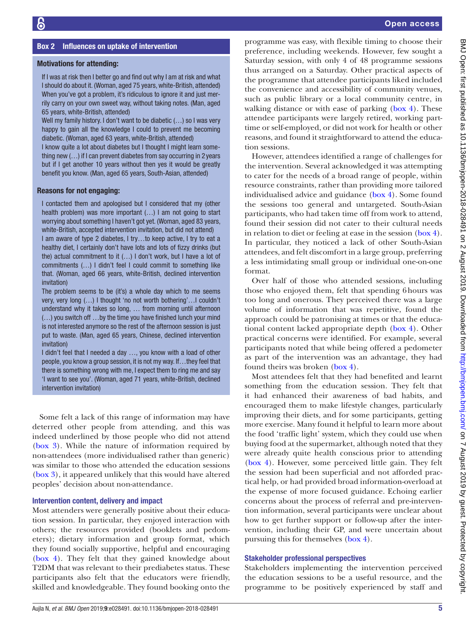# Box 2 Influences on uptake of intervention

## <span id="page-4-0"></span>Motivations for attending:

If I was at risk then I better go and find out why I am at risk and what I should do about it. (Woman, aged 75 years, white-British, attended) When you've got a problem, it's ridiculous to ignore it and just merrily carry on your own sweet way, without taking notes. (Man, aged 65 years, white-British, attended)

Well my family history. I don't want to be diabetic (...) so I was very happy to gain all the knowledge I could to prevent me becoming diabetic. (Woman, aged 63 years, white-British, attended)

I know quite a lot about diabetes but I thought I might learn something new (…) if I can prevent diabetes from say occurring in 2 years but if I get another 10 years without then yes it would be greatly benefit you know. (Man, aged 65 years, South-Asian, attended)

#### Reasons for not engaging:

I contacted them and apologised but I considered that my (other health problem) was more important (...) I am not going to start worrying about something I haven't got yet. (Woman, aged 83 years, white-British, accepted intervention invitation, but did not attend) I am aware of type 2 diabetes, I try...to keep active, I try to eat a healthy diet, I certainly don't have lots and lots of fizzy drinks (but the) actual commitment to it (…) I don't work, but I have a lot of commitments (…) I didn't feel I could commit to something like that. (Woman, aged 66 years, white-British, declined intervention invitation)

The problem seems to be (it's) a whole day which to me seems very, very long (…) I thought 'no not worth bothering'…I couldn't understand why it takes so long, … from morning until afternoon (…) you switch off …by the time you have finished lunch your mind is not interested anymore so the rest of the afternoon session is just put to waste. (Man, aged 65 years, Chinese, declined intervention invitation)

I didn't feel that I needed a day …, you know with a load of other people, you know a group session, it is not my way. If…they feel that there is something wrong with me, I expect them to ring me and say 'I want to see you'. (Woman, aged 71 years, white-British, declined intervention invitation)

Some felt a lack of this range of information may have deterred other people from attending, and this was indeed underlined by those people who did not attend ([box](#page-5-0) 3). While the nature of information required by non-attendees (more individualised rather than generic) was similar to those who attended the education sessions ([box](#page-5-0) 3), it appeared unlikely that this would have altered peoples' decision about non-attendance.

## Intervention content, delivery and impact

Most attenders were generally positive about their education session. In particular, they enjoyed interaction with others; the resources provided (booklets and pedometers); dietary information and group format, which they found socially supportive, helpful and encouraging ([box](#page-6-0) 4). They felt that they gained knowledge about T2DM that was relevant to their prediabetes status. These participants also felt that the educators were friendly, skilled and knowledgeable. They found booking onto the

programme was easy, with flexible timing to choose their preference, including weekends. However, few sought a Saturday session, with only 4 of 48 programme sessions thus arranged on a Saturday. Other practical aspects of the programme that attendee participants liked included the convenience and accessibility of community venues, such as public library or a local community centre, in walking distance or with ease of parking [\(box](#page-6-0) 4). These attendee participants were largely retired, working parttime or self-employed, or did not work for health or other reasons, and found it straightforward to attend the education sessions.

However, attendees identified a range of challenges for the intervention. Several acknowledged it was attempting to cater for the needs of a broad range of people, within resource constraints, rather than providing more tailored individualised advice and guidance [\(box](#page-6-0) 4). Some found the sessions too general and untargeted. South-Asian participants, who had taken time off from work to attend, found their session did not cater to their cultural needs in relation to diet or feeling at ease in the session ([box](#page-6-0) 4). In particular, they noticed a lack of other South-Asian attendees, and felt discomfort in a large group, preferring a less intimidating small group or individual one-on-one format.

Over half of those who attended sessions, including those who enjoyed them, felt that spending 6hours was too long and onerous. They perceived there was a large volume of information that was repetitive, found the approach could be patronising at times or that the educational content lacked appropriate depth ([box](#page-6-0) 4). Other practical concerns were identified. For example, several participants noted that while being offered a pedometer as part of the intervention was an advantage, they had found theirs was broken ([box](#page-6-0) 4).

Most attendees felt that they had benefited and learnt something from the education session. They felt that it had enhanced their awareness of bad habits, and encouraged them to make lifestyle changes, particularly improving their diets, and for some participants, getting more exercise. Many found it helpful to learn more about the food 'traffic light' system, which they could use when buying food at the supermarket, although noted that they were already quite health conscious prior to attending [\(box](#page-6-0) 4). However, some perceived little gain. They felt the session had been superficial and not afforded practical help, or had provided broad information-overload at the expense of more focused guidance. Echoing earlier concerns about the process of referral and pre-intervention information, several participants were unclear about how to get further support or follow-up after the intervention, including their GP, and were uncertain about pursuing this for themselves [\(box](#page-6-0) 4).

#### Stakeholder professional perspectives

Stakeholders implementing the intervention perceived the education sessions to be a useful resource, and the programme to be positively experienced by staff and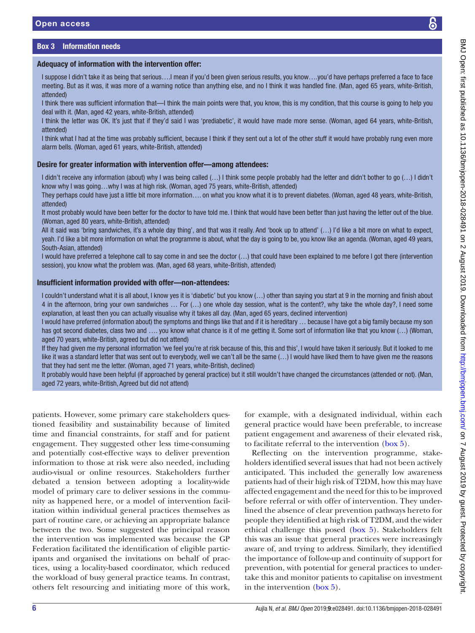# Box 3 Information needs

## <span id="page-5-0"></span>Adequacy of information with the intervention offer:

I suppose I didn't take it as being that serious….I mean if you'd been given serious results, you know….you'd have perhaps preferred a face to face meeting. But as it was, it was more of a warning notice than anything else, and no I think it was handled fine. (Man, aged 65 years, white-British, attended)

I think there was sufficient information that—I think the main points were that, you know, this is my condition, that this course is going to help you deal with it. (Man, aged 42 years, white-British, attended)

I think the letter was OK. It's just that if they'd said I was 'prediabetic', it would have made more sense. (Woman, aged 64 years, white-British, attended)

I think what I had at the time was probably sufficient, because I think if they sent out a lot of the other stuff it would have probably rung even more alarm bells. (Woman, aged 61 years, white-British, attended)

## Desire for greater information with intervention offer—among attendees:

I didn't receive any information (about) why I was being called (…) I think some people probably had the letter and didn't bother to go (…) I didn't know why I was going…why I was at high risk. (Woman, aged 75 years, white-British, attended)

They perhaps could have just a little bit more information…. on what you know what it is to prevent diabetes. (Woman, aged 48 years, white-British, attended)

It most probably would have been better for the doctor to have told me. I think that would have been better than just having the letter out of the blue. (Woman, aged 80 years, white-British, attended)

All it said was 'bring sandwiches, it's a whole day thing', and that was it really. And 'book up to attend' (…) I'd like a bit more on what to expect, yeah. I'd like a bit more information on what the programme is about, what the day is going to be, you know like an agenda. (Woman, aged 49 years, South-Asian, attended)

I would have preferred a telephone call to say come in and see the doctor (…) that could have been explained to me before I got there (intervention session), you know what the problem was. (Man, aged 68 years, white-British, attended)

# Insufficient information provided with offer—non-attendees:

I couldn't understand what it is all about, I know yes it is 'diabetic' but you know (…) other than saying you start at 9 in the morning and finish about 4 in the afternoon, bring your own sandwiches … For (…) one whole day session, what is the content?, why take the whole day?, I need some explanation, at least then you can actually visualise why it takes all day. (Man, aged 65 years, declined intervention)

I would have preferred (information about) the symptoms and things like that and if it is hereditary … because I have got a big family because my son has got second diabetes, class two and ... you know what chance is it of me getting it. Some sort of information like that you know (...) (Woman, aged 70 years, white-British, agreed but did not attend)

If they had given me my personal information 'we feel you're at risk because of this, this and this', I would have taken it seriously. But it looked to me like it was a standard letter that was sent out to everybody, well we can't all be the same (…) I would have liked them to have given me the reasons that they had sent me the letter. (Woman, aged 71 years, white-British, declined)

It probably would have been helpful (if approached by general practice) but it still wouldn't have changed the circumstances (attended or not). (Man, aged 72 years, white-British, Agreed but did not attend)

patients. However, some primary care stakeholders questioned feasibility and sustainability because of limited time and financial constraints, for staff and for patient engagement. They suggested other less time-consuming and potentially cost-effective ways to deliver prevention information to those at risk were also needed, including audio-visual or online resources. Stakeholders further debated a tension between adopting a locality-wide model of primary care to deliver sessions in the community as happened here, or a model of intervention facilitation within individual general practices themselves as part of routine care, or achieving an appropriate balance between the two. Some suggested the principal reason the intervention was implemented was because the GP Federation facilitated the identification of eligible participants and organised the invitations on behalf of practices, using a locality-based coordinator, which reduced the workload of busy general practice teams. In contrast, others felt resourcing and initiating more of this work,

for example, with a designated individual, within each general practice would have been preferable, to increase patient engagement and awareness of their elevated risk, to facilitate referral to the intervention ([box](#page-7-0) 5).

Reflecting on the intervention programme, stakeholders identified several issues that had not been actively anticipated. This included the generally low awareness patients had of their high risk of T2DM, how this may have affected engagement and the need for this to be improved before referral or with offer of intervention. They underlined the absence of clear prevention pathways hereto for people they identified at high risk of T2DM, and the wider ethical challenge this posed [\(box](#page-7-0) 5). Stakeholders felt this was an issue that general practices were increasingly aware of, and trying to address. Similarly, they identified the importance of follow-up and continuity of support for prevention, with potential for general practices to undertake this and monitor patients to capitalise on investment in the intervention [\(box](#page-7-0) 5).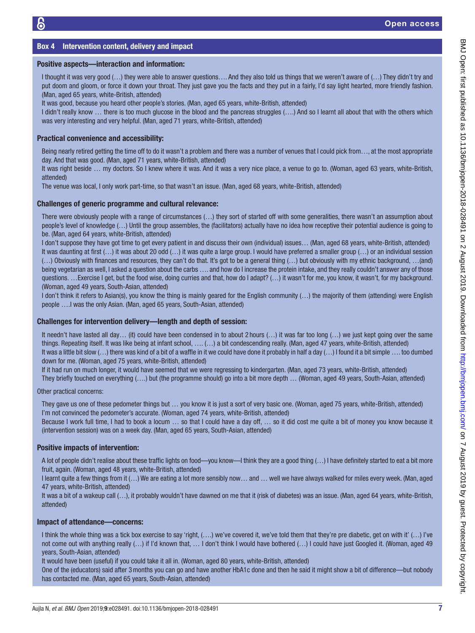# Box 4 Intervention content, delivery and impact

#### <span id="page-6-0"></span>Positive aspects—interaction and information:

I thought it was very good (…) they were able to answer questions…. And they also told us things that we weren't aware of (…) They didn't try and put doom and gloom, or force it down your throat. They just gave you the facts and they put in a fairly, I'd say light hearted, more friendly fashion. (Man, aged 65 years, white-British, attended)

It was good, because you heard other people's stories. (Man, aged 65 years, white-British, attended)

I didn't really know … there is too much glucose in the blood and the pancreas struggles (….) And so I learnt all about that with the others which was very interesting and very helpful. (Man, aged 71 years, white-British, attended)

#### Practical convenience and accessibility:

Being nearly retired getting the time off to do it wasn't a problem and there was a number of venues that I could pick from…, at the most appropriate day. And that was good. (Man, aged 71 years, white-British, attended)

It was right beside … my doctors. So I knew where it was. And it was a very nice place, a venue to go to. (Woman, aged 63 years, white-British, attended)

The venue was local, I only work part-time, so that wasn't an issue. (Man, aged 68 years, white-British, attended)

#### Challenges of generic programme and cultural relevance:

There were obviously people with a range of circumstances (…) they sort of started off with some generalities, there wasn't an assumption about people's level of knowledge (…) Until the group assembles, the (facilitators) actually have no idea how receptive their potential audience is going to be. (Man, aged 64 years, white-British, attended)

I don't suppose they have got time to get every patient in and discuss their own (individual) issues… (Man, aged 68 years, white-British, attended) It was daunting at first  $(...)$  it was about 20 odd  $(...)$  it was quite a large group. I would have preferred a smaller group  $(...)$  or an individual session (…) Obviously with finances and resources, they can't do that. It's got to be a general thing (…) but obviously with my ethnic background, …(and) being vegetarian as well, I asked a question about the carbs …. and how do I increase the protein intake, and they really couldn't answer any of those questions. ... Exercise I get, but the food wise, doing curries and that, how do I adapt? (...) it wasn't for me, you know, it wasn't, for my background. (Woman, aged 49 years, South-Asian, attended)

I don't think it refers to Asian(s), you know the thing is mainly geared for the English community (…) the majority of them (attending) were English people ….I was the only Asian. (Man, aged 65 years, South-Asian, attended)

#### Challenges for intervention delivery—length and depth of session:

It needn't have lasted all day... (it) could have been condensed in to about 2 hours  $(...)$  it was far too long  $(...)$  we just kept going over the same things. Repeating itself. It was like being at infant school, …. (…) a bit condescending really. (Man, aged 47 years, white-British, attended) It was a little bit slow (…) there was kind of a bit of a waffle in it we could have done it probably in half a day (…) I found it a bit simple …. too dumbed

down for me. (Woman, aged 75 years, white-British, attended)

If it had run on much longer, it would have seemed that we were regressing to kindergarten. (Man, aged 73 years, white-British, attended)

They briefly touched on everything (….) but (the programme should) go into a bit more depth … (Woman, aged 49 years, South-Asian, attended)

Other practical concerns:

They gave us one of these pedometer things but … you know it is just a sort of very basic one. (Woman, aged 75 years, white-British, attended) I'm not convinced the pedometer's accurate. (Woman, aged 74 years, white-British, attended)

Because I work full time, I had to book a locum … so that I could have a day off, … so it did cost me quite a bit of money you know because it (intervention session) was on a week day. (Man, aged 65 years, South-Asian, attended)

## Positive impacts of intervention:

A lot of people didn't realise about these traffic lights on food—you know—I think they are a good thing (…) I have definitely started to eat a bit more fruit, again. (Woman, aged 48 years, white-British, attended)

I learnt quite a few things from it (…) We are eating a lot more sensibly now… and … well we have always walked for miles every week. (Man, aged 47 years, white-British, attended)

It was a bit of a wakeup call (...), it probably wouldn't have dawned on me that it (risk of diabetes) was an issue. (Man, aged 64 years, white-British, attended)

# Impact of attendance—concerns:

I think the whole thing was a tick box exercise to say 'right, (….) we've covered it, we've told them that they're pre diabetic, get on with it' (…) I've not come out with anything really (…) if I'd known that, … I don't think I would have bothered (…) I could have just Googled it. (Woman, aged 49 years, South-Asian, attended)

It would have been (useful) if you could take it all in. (Woman, aged 80 years, white-British, attended)

One of the (educators) said after 3months you can go and have another HbA1c done and then he said it might show a bit of difference—but nobody has contacted me. (Man, aged 65 years, South-Asian, attended)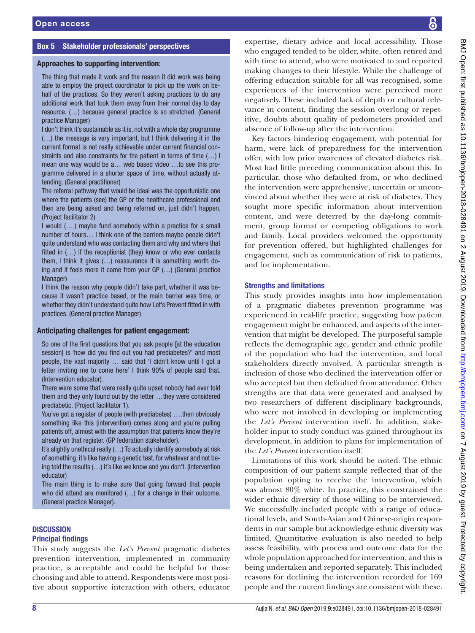## Box 5 Stakeholder professionals' perspectives

# <span id="page-7-0"></span>Approaches to supporting intervention:

The thing that made it work and the reason it did work was being able to employ the project coordinator to pick up the work on behalf of the practices. So they weren't asking practices to do any additional work that took them away from their normal day to day resource. (…) because general practice is so stretched. (General practice Manager)

I don't think it's sustainable as it is, not with a whole day programme (…) the message is very important, but I think delivering it in the current format is not really achievable under current financial constraints and also constraints for the patient in terms of time (…) I mean one way would be a… web based video …to see this programme delivered in a shorter space of time, without actually attending. (General practitioner)

The referral pathway that would be ideal was the opportunistic one where the patients (see) the GP or the healthcare professional and then are being asked and being referred on, just didn't happen. (Project facilitator 2)

I would (….) maybe fund somebody within a practice for a small number of hours… I think one of the barriers maybe people didn't quite understand who was contacting them and why and where that fitted in (…) If the receptionist (they) know or who ever contacts them, I think it gives (…) reassurance it is something worth doing and it feels more it came from your GP (…) (General practice Manager)

I think the reason why people didn't take part, whether it was because it wasn't practice based, or the main barrier was time, or whether they didn't understand quite how Let's Prevent fitted in with practices. (General practice Manager)

## Anticipating challenges for patient engagement:

So one of the first questions that you ask people [at the education session] is 'how did you find out you had prediabetes?' and most people, the vast majority … said that 'I didn't know until I got a letter inviting me to come here' I think 90% of people said that. (Intervention educator).

There were some that were really quite upset nobody had ever told them and they only found out by the letter …they were considered prediabetic. (Project facilitator 1).

You've got a register of people (with prediabetes) ….then obviously something like this (intervention) comes along and you're pulling patients off, almost with the assumption that patients know they're already on that register. (GP federation stakeholder).

It's slightly unethical really (…) To actually identify somebody at risk of something, it's like having a genetic test, for whatever and not being told the results (…) it's like we know and you don't. (Intervention educator)

The main thing is to make sure that going forward that people who did attend are monitored (…) for a change in their outcome. (General practice Manager).

# **DISCUSSION** Principal findings

This study suggests the *Let's Prevent* pragmatic diabetes prevention intervention, implemented in community practice, is acceptable and could be helpful for those choosing and able to attend. Respondents were most positive about supportive interaction with others, educator

expertise, dietary advice and local accessibility. Those who engaged tended to be older, white, often retired and with time to attend, who were motivated to and reported making changes to their lifestyle. While the challenge of offering education suitable for all was recognised, some experiences of the intervention were perceived more negatively. These included lack of depth or cultural relevance in content, finding the session overlong or repetitive, doubts about quality of pedometers provided and absence of follow-up after the intervention.

Key factors hindering engagement, with potential for harm, were lack of preparedness for the intervention offer, with low prior awareness of elevated diabetes risk. Most had little preceding communication about this. In particular, those who defaulted from, or who declined the intervention were apprehensive, uncertain or unconvinced about whether they were at risk of diabetes. They sought more specific information about intervention content, and were deterred by the day-long commitment, group format or competing obligations to work and family. Local providers welcomed the opportunity for prevention offered, but highlighted challenges for engagement, such as communication of risk to patients, and for implementation.

#### Strengths and limitations

This study provides insights into how implementation of a pragmatic diabetes prevention programme was experienced in real-life practice, suggesting how patient engagement might be enhanced, and aspects of the intervention that might be developed. The purposeful sample reflects the demographic age, gender and ethnic profile of the population who had the intervention, and local stakeholders directly involved. A particular strength is inclusion of those who declined the intervention offer or who accepted but then defaulted from attendance. Other strengths are that data were generated and analysed by two researchers of different disciplinary backgrounds, who were not involved in developing or implementing the *Let's Prevent* intervention itself. In addition, stakeholder input to study conduct was gained throughout its development, in addition to plans for implementation of the *Let's Prevent* intervention itself.

Limitations of this work should be noted. The ethnic composition of our patient sample reflected that of the population opting to receive the intervention, which was almost 80% white. In practice, this constrained the wider ethnic diversity of those willing to be interviewed. We successfully included people with a range of educational levels, and South-Asian and Chinese-origin respondents in our sample but acknowledge ethnic diversity was limited. Quantitative evaluation is also needed to help assess feasibility, with process and outcome data for the whole population approached for intervention, and this is being undertaken and reported separately. This included reasons for declining the intervention recorded for 169 people and the current findings are consistent with these.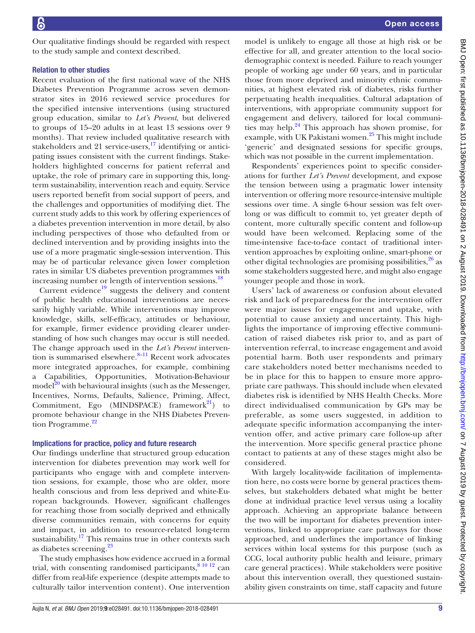Our qualitative findings should be regarded with respect to the study sample and context described.

## Relation to other studies

Recent evaluation of the first national wave of the NHS Diabetes Prevention Programme across seven demonstrator sites in 2016 reviewed service procedures for the specified intensive interventions (using structured group education, similar to *Let's Prevent*, but delivered to groups of 15–20 adults in at least 13 sessions over 9 months). That review included qualitative research with stakeholders and 21 service-users, $17$  identifying or anticipating issues consistent with the current findings. Stakeholders highlighted concerns for patient referral and uptake, the role of primary care in supporting this, longterm sustainability, intervention reach and equity. Service users reported benefit from social support of peers, and the challenges and opportunities of modifying diet. The current study adds to this work by offering experiences of a diabetes prevention intervention in more detail, by also including perspectives of those who defaulted from or declined intervention and by providing insights into the use of a more pragmatic single-session intervention. This may be of particular relevance given lower completion rates in similar US diabetes prevention programmes with increasing number or length of intervention sessions.<sup>[18](#page-9-13)</sup>

Current evidence $^{19}$  suggests the delivery and content of public health educational interventions are necessarily highly variable. While interventions may improve knowledge, skills, self-efficacy, attitudes or behaviour, for example, firmer evidence providing clearer understanding of how such changes may occur is still needed. The change approach used in the *Let's Prevent* intervention is summarised elsewhere. $8-11$  Recent work advocates more integrated approaches, for example, combining a Capabilities, Opportunities, Motivation-Behaviour model $^{20}$  with behavioural insights (such as the Messenger, Incentives, Norms, Defaults, Salience, Priming, Affect, Commitment, Ego (MINDSPACE) framework<sup>21</sup>) to promote behaviour change in the NHS Diabetes Preven-tion Programme.<sup>[22](#page-9-17)</sup>

## Implications for practice, policy and future research

Our findings underline that structured group education intervention for diabetes prevention may work well for participants who engage with and complete intervention sessions, for example, those who are older, more health conscious and from less deprived and white-European backgrounds. However, significant challenges for reaching those from socially deprived and ethnically diverse communities remain, with concerns for equity and impact, in addition to resource-related long-term sustainability. $17$  This remains true in other contexts such as diabetes screening.<sup>[23](#page-9-18)</sup>

The study emphasises how evidence accrued in a formal trial, with consenting randomised participants,  $8^{10}$  12 can differ from real-life experience (despite attempts made to culturally tailor intervention content). One intervention

model is unlikely to engage all those at high risk or be effective for all, and greater attention to the local sociodemographic context is needed. Failure to reach younger people of working age under 60 years, and in particular those from more deprived and minority ethnic communities, at highest elevated risk of diabetes, risks further perpetuating health inequalities. Cultural adaptation of interventions, with appropriate community support for engagement and delivery, tailored for local communities may help. $^{24}$  This approach has shown promise, for example, with UK Pakistani women. $25$  This might include 'generic' and designated sessions for specific groups, which was not possible in the current implementation.

Respondents' experiences point to specific considerations for further *Let's Prevent* development, and expose the tension between using a pragmatic lower intensity intervention or offering more resource-intensive multiple sessions over time. A single 6-hour session was felt overlong or was difficult to commit to, yet greater depth of content, more culturally specific content and follow-up would have been welcomed. Replacing some of the time-intensive face-to-face contact of traditional intervention approaches by exploiting online, smart-phone or other digital technologies are promising possibilities, $\frac{26}{6}$  as some stakeholders suggested here, and might also engage younger people and those in work.

Users' lack of awareness or confusion about elevated risk and lack of preparedness for the intervention offer were major issues for engagement and uptake, with potential to cause anxiety and uncertainty. This highlights the importance of improving effective communication of raised diabetes risk prior to, and as part of intervention referral, to increase engagement and avoid potential harm. Both user respondents and primary care stakeholders noted better mechanisms needed to be in place for this to happen to ensure more appropriate care pathways. This should include when elevated diabetes risk is identified by NHS Health Checks. More direct individualised communication by GPs may be preferable, as some users suggested, in addition to adequate specific information accompanying the intervention offer, and active primary care follow-up after the intervention. More specific general practice phone contact to patients at any of these stages might also be considered.

With largely locality-wide facilitation of implementation here, no costs were borne by general practices themselves, but stakeholders debated what might be better done at individual practice level versus using a locality approach. Achieving an appropriate balance between the two will be important for diabetes prevention interventions, linked to appropriate care pathways for those approached, and underlines the importance of linking services within local systems for this purpose (such as CCG, local authority public health and leisure, primary care general practices). While stakeholders were positive about this intervention overall, they questioned sustainability given constraints on time, staff capacity and future